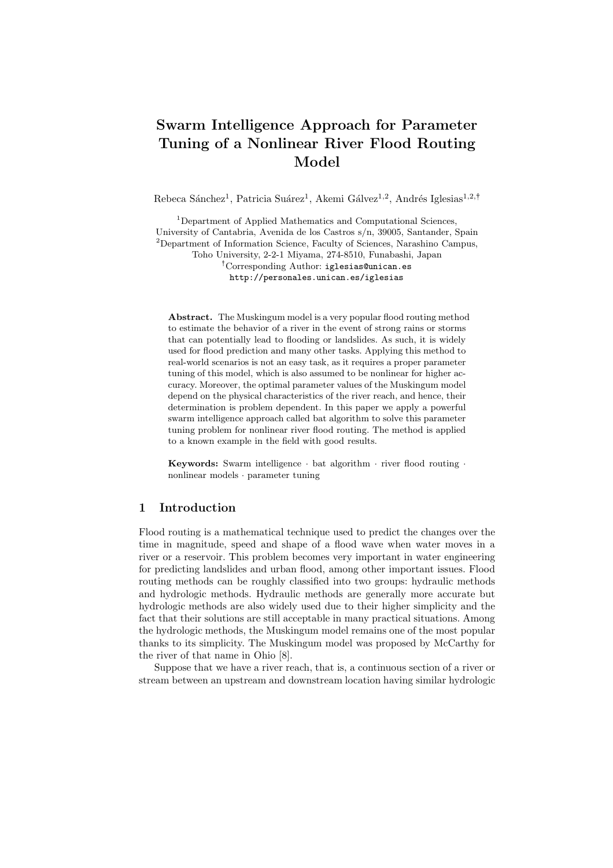# Swarm Intelligence Approach for Parameter Tuning of a Nonlinear River Flood Routing Model

Rebeca Sánchez<sup>1</sup>, Patricia Suárez<sup>1</sup>, Akemi Gálvez<sup>1,2</sup>, Andrés Iglesias<sup>1,2,†</sup>

<sup>1</sup>Department of Applied Mathematics and Computational Sciences, University of Cantabria, Avenida de los Castros s/n, 39005, Santander, Spain <sup>2</sup>Department of Information Science, Faculty of Sciences, Narashino Campus, Toho University, 2-2-1 Miyama, 274-8510, Funabashi, Japan : Corresponding Author: iglesias@unican.es http://personales.unican.es/iglesias

Abstract. The Muskingum model is a very popular flood routing method to estimate the behavior of a river in the event of strong rains or storms that can potentially lead to flooding or landslides. As such, it is widely used for flood prediction and many other tasks. Applying this method to real-world scenarios is not an easy task, as it requires a proper parameter tuning of this model, which is also assumed to be nonlinear for higher accuracy. Moreover, the optimal parameter values of the Muskingum model depend on the physical characteristics of the river reach, and hence, their determination is problem dependent. In this paper we apply a powerful swarm intelligence approach called bat algorithm to solve this parameter tuning problem for nonlinear river flood routing. The method is applied to a known example in the field with good results.

Keywords: Swarm intelligence  $\cdot$  bat algorithm  $\cdot$  river flood routing  $\cdot$ nonlinear models · parameter tuning

# 1 Introduction

Flood routing is a mathematical technique used to predict the changes over the time in magnitude, speed and shape of a flood wave when water moves in a river or a reservoir. This problem becomes very important in water engineering for predicting landslides and urban flood, among other important issues. Flood routing methods can be roughly classified into two groups: hydraulic methods and hydrologic methods. Hydraulic methods are generally more accurate but hydrologic methods are also widely used due to their higher simplicity and the fact that their solutions are still acceptable in many practical situations. Among the hydrologic methods, the Muskingum model remains one of the most popular thanks to its simplicity. The Muskingum model was proposed by McCarthy for the river of that name in Ohio [8].

Suppose that we have a river reach, that is, a continuous section of a river or stream between an upstream and downstream location having similar hydrologic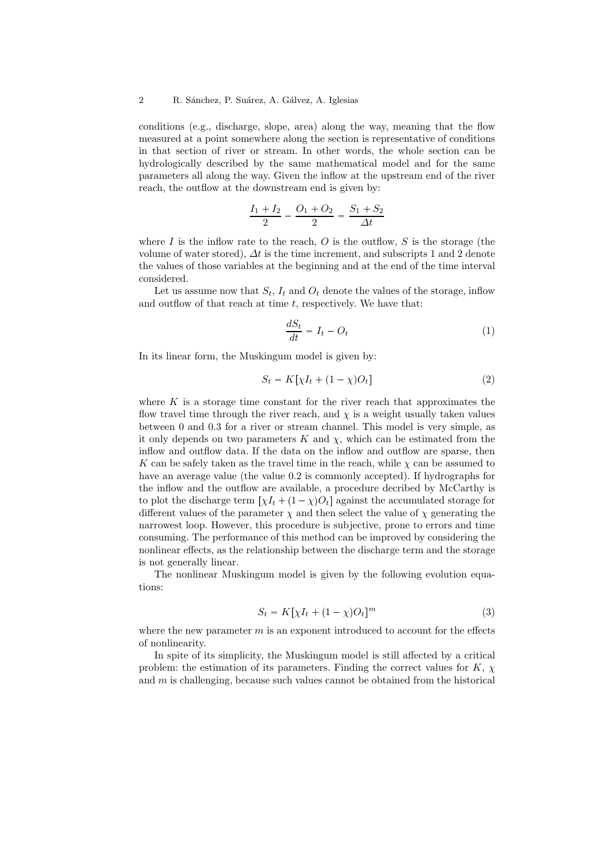conditions (e.g., discharge, slope, area) along the way, meaning that the flow measured at a point somewhere along the section is representative of conditions in that section of river or stream. In other words, the whole section can be hydrologically described by the same mathematical model and for the same parameters all along the way. Given the inflow at the upstream end of the river reach, the outflow at the downstream end is given by:

$$
\frac{I_1 + I_2}{2} - \frac{O_1 + O_2}{2} = \frac{S_1 + S_2}{\Delta t}
$$

where  $I$  is the inflow rate to the reach,  $O$  is the outflow,  $S$  is the storage (the volume of water stored),  $\Delta t$  is the time increment, and subscripts 1 and 2 denote the values of those variables at the beginning and at the end of the time interval considered.

Let us assume now that  $S_t$ ,  $I_t$  and  $O_t$  denote the values of the storage, inflow and outflow of that reach at time  $t$ , respectively. We have that:

$$
\frac{dS_t}{dt} = I_t - O_t \tag{1}
$$

In its linear form, the Muskingum model is given by:

$$
S_t = K[\chi I_t + (1 - \chi)O_t]
$$
\n<sup>(2)</sup>

where  $K$  is a storage time constant for the river reach that approximates the flow travel time through the river reach, and  $\chi$  is a weight usually taken values between 0 and 0.3 for a river or stream channel. This model is very simple, as it only depends on two parameters  $K$  and  $\chi$ , which can be estimated from the inflow and outflow data. If the data on the inflow and outflow are sparse, then K can be safely taken as the travel time in the reach, while  $\chi$  can be assumed to have an average value (the value 0.2 is commonly accepted). If hydrographs for the inflow and the outflow are available, a procedure decribed by McCarthy is to plot the discharge term  $[\chi I_t + (1 - \chi)O_t]$  against the accumulated storage for different values of the parameter  $\chi$  and then select the value of  $\chi$  generating the narrowest loop. However, this procedure is subjective, prone to errors and time consuming. The performance of this method can be improved by considering the nonlinear effects, as the relationship between the discharge term and the storage is not generally linear.

The nonlinear Muskingum model is given by the following evolution equations:

$$
S_t = K[\chi I_t + (1 - \chi)O_t]^m
$$
\n(3)

where the new parameter  $m$  is an exponent introduced to account for the effects of nonlinearity.

In spite of its simplicity, the Muskingum model is still affected by a critical problem: the estimation of its parameters. Finding the correct values for  $K$ ,  $\chi$ and  $m$  is challenging, because such values cannot be obtained from the historical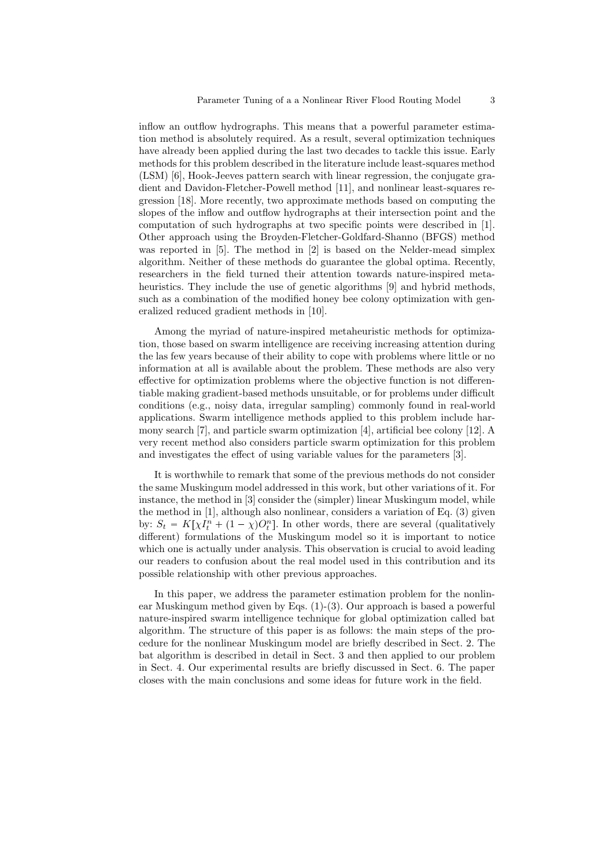inflow an outflow hydrographs. This means that a powerful parameter estimation method is absolutely required. As a result, several optimization techniques have already been applied during the last two decades to tackle this issue. Early methods for this problem described in the literature include least-squares method (LSM) [6], Hook-Jeeves pattern search with linear regression, the conjugate gradient and Davidon-Fletcher-Powell method [11], and nonlinear least-squares regression [18]. More recently, two approximate methods based on computing the slopes of the inflow and outflow hydrographs at their intersection point and the computation of such hydrographs at two specific points were described in [1]. Other approach using the Broyden-Fletcher-Goldfard-Shanno (BFGS) method was reported in [5]. The method in [2] is based on the Nelder-mead simplex algorithm. Neither of these methods do guarantee the global optima. Recently, researchers in the field turned their attention towards nature-inspired metaheuristics. They include the use of genetic algorithms [9] and hybrid methods, such as a combination of the modified honey bee colony optimization with generalized reduced gradient methods in [10].

Among the myriad of nature-inspired metaheuristic methods for optimization, those based on swarm intelligence are receiving increasing attention during the las few years because of their ability to cope with problems where little or no information at all is available about the problem. These methods are also very effective for optimization problems where the objective function is not differentiable making gradient-based methods unsuitable, or for problems under difficult conditions (e.g., noisy data, irregular sampling) commonly found in real-world applications. Swarm intelligence methods applied to this problem include harmony search [7], and particle swarm optimization [4], artificial bee colony [12]. A very recent method also considers particle swarm optimization for this problem and investigates the effect of using variable values for the parameters [3].

It is worthwhile to remark that some of the previous methods do not consider the same Muskingum model addressed in this work, but other variations of it. For instance, the method in [3] consider the (simpler) linear Muskingum model, while the method in [1], although also nonlinear, considers a variation of Eq. (3) given by:  $S_t = K[\chi I_t^n + (1 - \chi)O_t^n]$ . In other words, there are several (qualitatively different) formulations of the Muskingum model so it is important to notice which one is actually under analysis. This observation is crucial to avoid leading our readers to confusion about the real model used in this contribution and its possible relationship with other previous approaches.

In this paper, we address the parameter estimation problem for the nonlinear Muskingum method given by Eqs. (1)-(3). Our approach is based a powerful nature-inspired swarm intelligence technique for global optimization called bat algorithm. The structure of this paper is as follows: the main steps of the procedure for the nonlinear Muskingum model are briefly described in Sect. 2. The bat algorithm is described in detail in Sect. 3 and then applied to our problem in Sect. 4. Our experimental results are briefly discussed in Sect. 6. The paper closes with the main conclusions and some ideas for future work in the field.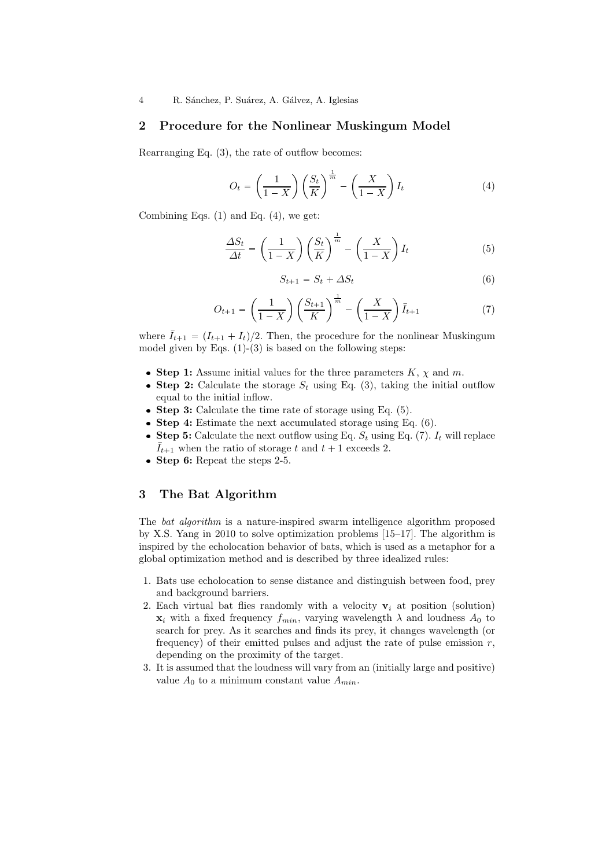### 2 Procedure for the Nonlinear Muskingum Model

Rearranging Eq. (3), the rate of outflow becomes:

$$
O_t = \left(\frac{1}{1-X}\right) \left(\frac{S_t}{K}\right)^{\frac{1}{m}} - \left(\frac{X}{1-X}\right) I_t \tag{4}
$$

Combining Eqs.  $(1)$  and Eq.  $(4)$ , we get:

$$
\frac{\Delta S_t}{\Delta t} = \left(\frac{1}{1-X}\right) \left(\frac{S_t}{K}\right)^{\frac{1}{m}} - \left(\frac{X}{1-X}\right) I_t \tag{5}
$$

$$
S_{t+1} = S_t + \Delta S_t \tag{6}
$$

$$
O_{t+1} = \left(\frac{1}{1-X}\right) \left(\frac{S_{t+1}}{K}\right)^{\frac{1}{m}} - \left(\frac{X}{1-X}\right) \bar{I}_{t+1}
$$
 (7)

where  $\bar{I}_{t+1} = (I_{t+1} + I_t)/2$ . Then, the procedure for the nonlinear Muskingum model given by Eqs.  $(1)-(3)$  is based on the following steps:

- Step 1: Assume initial values for the three parameters  $K$ ,  $\chi$  and  $m$ .
- Step 2: Calculate the storage  $S_t$  using Eq. (3), taking the initial outflow equal to the initial inflow.
- Step 3: Calculate the time rate of storage using Eq. (5).
- Step 4: Estimate the next accumulated storage using Eq.  $(6)$ .
- Step 5: Calculate the next outflow using Eq.  $S_t$  using Eq. (7).  $I_t$  will replace  $\bar{I}_{t+1}$  when the ratio of storage t and  $t+1$  exceeds 2.
- $\bullet$  Step 6: Repeat the steps 2-5.

## 3 The Bat Algorithm

The *bat algorithm* is a nature-inspired swarm intelligence algorithm proposed by X.S. Yang in 2010 to solve optimization problems [15–17]. The algorithm is inspired by the echolocation behavior of bats, which is used as a metaphor for a global optimization method and is described by three idealized rules:

- 1. Bats use echolocation to sense distance and distinguish between food, prey and background barriers.
- 2. Each virtual bat flies randomly with a velocity  $v_i$  at position (solution)  $\mathbf{x}_i$  with a fixed frequency  $f_{min}$ , varying wavelength  $\lambda$  and loudness  $A_0$  to search for prey. As it searches and finds its prey, it changes wavelength (or frequency) of their emitted pulses and adjust the rate of pulse emission  $r$ , depending on the proximity of the target.
- 3. It is assumed that the loudness will vary from an (initially large and positive) value  $A_0$  to a minimum constant value  $A_{min}$ .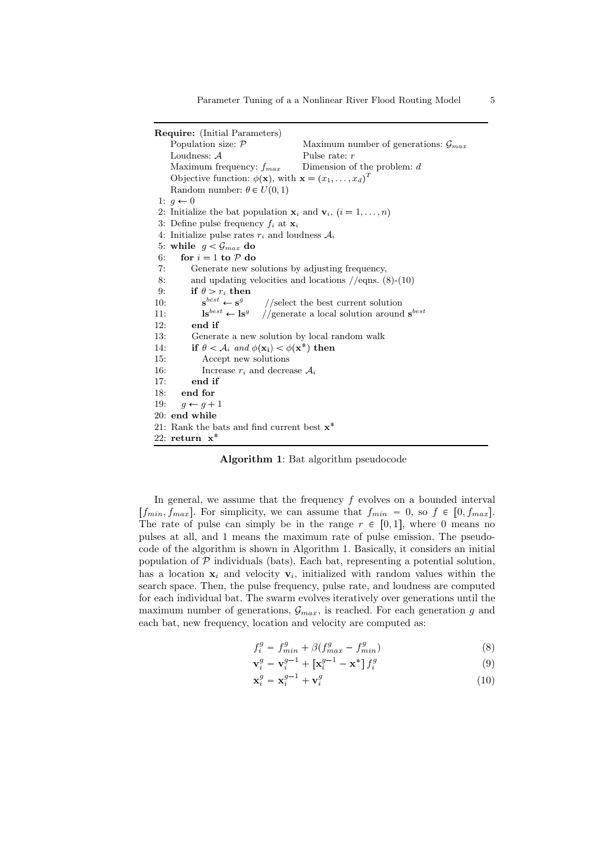Require: (Initial Parameters) Population size:  $P$  Maximum number of generations:  $G_{max}$ Loudness: A Pulse rate: r Maximum frequency:  $f_{max}$  Dimension of the problem: d Objective function:  $\phi(\mathbf{x})$ , with  $\mathbf{x} = (x_1, \dots, x_d)^T$ Random number:  $\theta \in U(0, 1)$ 1:  $q \leftarrow 0$ 2: Initialize the bat population  $\mathbf{x}_i$  and  $\mathbf{v}_i$ ,  $(i = 1, \ldots, n)$ 3: Define pulse frequency  $f_i$  at  $\mathbf{x}_i$ 4: Initialize pulse rates  $r_i$  and loudness  $A_i$ 5: while  $q < \mathcal{G}_{max}$  do 6: for  $i = 1$  to  $P$  do 7: Generate new solutions by adjusting frequency, 8: and updating velocities and locations //eqns. (8)-(10) 9: if  $\theta > r_i$  then  $10<sup>5</sup>$  $e^{best} \leftarrow s^g$ //select the best current solution 11:  $\mathbf{ls}^{best} \leftarrow \mathbf{ls}^g$ //generate a local solution around  $s^{best}$ 12: end if 13: Generate a new solution by local random walk 14: if  $\theta < A_i$  and  $\phi(\mathbf{x_i}) < \phi(\mathbf{x^*})$  then 15: Accept new solutions 16: Increase  $r_i$  and decrease  $A_i$ 17: end if 18: end for 19:  $g \leftarrow g + 1$ 20: end while 21: Rank the bats and find current best  $x^*$ 22: return  $x^*$ 

Algorithm 1: Bat algorithm pseudocode

In general, we assume that the frequency  $f$  evolves on a bounded interval  $[f_{min}, f_{max}]$ . For simplicity, we can assume that  $f_{min} = 0$ , so  $f \in [0, f_{max}]$ . The rate of pulse can simply be in the range  $r \in [0, 1]$ , where 0 means no pulses at all, and 1 means the maximum rate of pulse emission. The pseudocode of the algorithm is shown in Algorithm 1. Basically, it considers an initial population of  $P$  individuals (bats). Each bat, representing a potential solution, has a location  $x_i$  and velocity  $v_i$ , initialized with random values within the search space. Then, the pulse frequency, pulse rate, and loudness are computed for each individual bat. The swarm evolves iteratively over generations until the maximum number of generations,  $\mathcal{G}_{max}$ , is reached. For each generation g and each bat, new frequency, location and velocity are computed as:

$$
f_i^g = f_{min}^g + \beta (f_{max}^g - f_{min}^g) \tag{8}
$$

$$
\mathbf{v}_i^g = \mathbf{v}_i^{g-1} + \left[\mathbf{x}_i^{g-1} - \mathbf{x}^*\right] f_i^g \tag{9}
$$

$$
\mathbf{x}_i^g = \mathbf{x}_i^{g-1} + \mathbf{v}_i^g \tag{10}
$$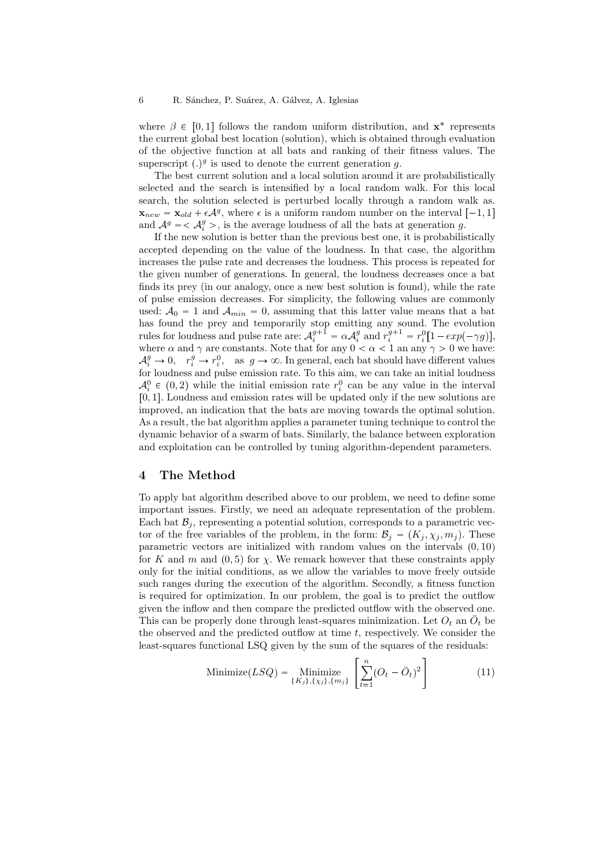where  $\beta \in [0,1]$  follows the random uniform distribution, and  $\mathbf{x}^*$  represents the current global best location (solution), which is obtained through evaluation of the objective function at all bats and ranking of their fitness values. The superscript  $(.)^g$  is used to denote the current generation g.

The best current solution and a local solution around it are probabilistically selected and the search is intensified by a local random walk. For this local search, the solution selected is perturbed locally through a random walk as.  $\mathbf{x}_{new} = \mathbf{x}_{old} + \epsilon \mathcal{A}^g$ , where  $\epsilon$  is a uniform random number on the interval  $[-1, 1]$ and  $A^g = \langle A_i^g \rangle$ , is the average loudness of all the bats at generation g.

If the new solution is better than the previous best one, it is probabilistically accepted depending on the value of the loudness. In that case, the algorithm increases the pulse rate and decreases the loudness. This process is repeated for the given number of generations. In general, the loudness decreases once a bat finds its prey (in our analogy, once a new best solution is found), while the rate of pulse emission decreases. For simplicity, the following values are commonly used:  $A_0 = 1$  and  $A_{min} = 0$ , assuming that this latter value means that a bat has found the prey and temporarily stop emitting any sound. The evolution rules for loudness and pulse rate are:  $\mathcal{A}_i^{g+1} = \alpha \mathcal{A}_i^g$  and  $r_i^{g+1} = r_i^0 [1 - exp(-\gamma g)],$ where  $\alpha$  and  $\gamma$  are constants. Note that for any  $0 < \alpha < 1$  an any  $\gamma > 0$  we have:  $\mathcal{A}_i^g \to 0$ ,  $r_i^g \to r_i^0$ , as  $g \to \infty$ . In general, each bat should have different values for loudness and pulse emission rate. To this aim, we can take an initial loudness  $\mathcal{A}_{i}^{0} \in (0, 2)$  while the initial emission rate  $r_i^{0}$  can be any value in the interval  $[0, 1]$ . Loudness and emission rates will be updated only if the new solutions are improved, an indication that the bats are moving towards the optimal solution. As a result, the bat algorithm applies a parameter tuning technique to control the dynamic behavior of a swarm of bats. Similarly, the balance between exploration and exploitation can be controlled by tuning algorithm-dependent parameters.

# 4 The Method

To apply bat algorithm described above to our problem, we need to define some important issues. Firstly, we need an adequate representation of the problem. Each bat  $\mathcal{B}_i$ , representing a potential solution, corresponds to a parametric vector of the free variables of the problem, in the form:  $\mathcal{B}_i = (K_i, \chi_i, m_i)$ . These parametric vectors are initialized with random values on the intervals  $(0, 10)$ for K and m and  $(0, 5)$  for  $\chi$ . We remark however that these constraints apply only for the initial conditions, as we allow the variables to move freely outside such ranges during the execution of the algorithm. Secondly, a fitness function is required for optimization. In our problem, the goal is to predict the outflow given the inflow and then compare the predicted outflow with the observed one. This can be properly done through least-squares minimization. Let  $O_t$  an  $\overline{O}_t$  be the observed and the predicted outflow at time  $t$ , respectively. We consider the least-squares functional LSQ given by the sum of the squares of the residuals:

Minimize 
$$
(LSQ) = \text{Minimize}_{\{K_j\}, \{\chi_j\}, \{m_j\}} \left[ \sum_{t=1}^n (O_t - \bar{O}_t)^2 \right]
$$
 (11)

-

-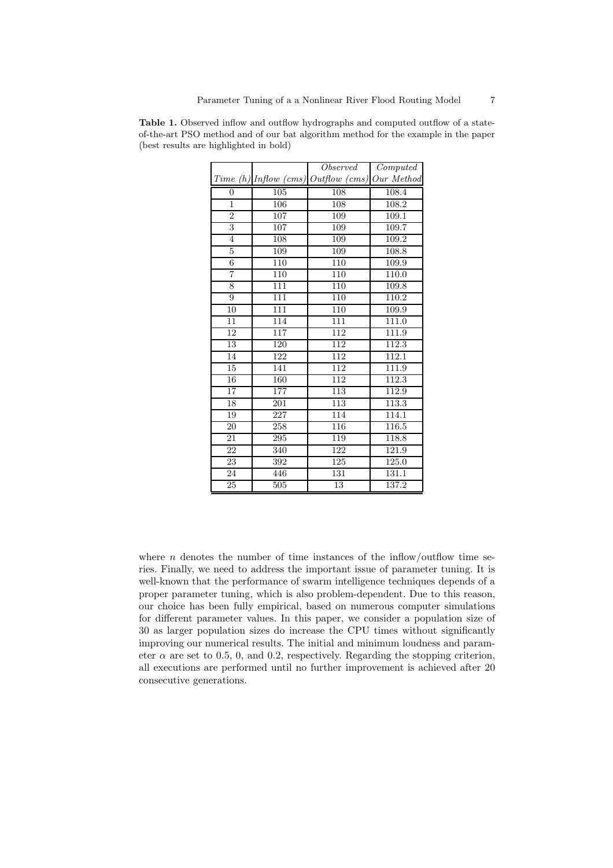|                 |     | Observed                                        | Computed |  |
|-----------------|-----|-------------------------------------------------|----------|--|
| <b>Time</b>     |     | $(h)$ Inflow $(cms)$ Outflow $(cms)$ Our Method |          |  |
| $\overline{0}$  | 105 | 108                                             | 108.4    |  |
| $\overline{1}$  | 106 | 108                                             | 108.2    |  |
| $\overline{2}$  | 107 | 109                                             | 109.1    |  |
| $\overline{3}$  | 107 | 109                                             | 109.7    |  |
| $\overline{4}$  | 108 | 109                                             | 109.2    |  |
| $\overline{5}$  | 109 | 109                                             | 108.8    |  |
| $\,6$           | 110 | 110                                             | 109.9    |  |
| 7               | 110 | 110                                             | 110.0    |  |
| 8               | 111 | 110                                             | 109.8    |  |
| 9               | 111 | $\overline{110}$                                | 110.2    |  |
| 10              | 111 | 110                                             | 109.9    |  |
| 11              | 114 | 111                                             | 111.0    |  |
| 12              | 117 | 112                                             | 111.9    |  |
| 13              | 120 | 112                                             | 112.3    |  |
| 14              | 122 | 112                                             | 112.1    |  |
| 15              | 141 | 112                                             | 111.9    |  |
| 16              | 160 | 112                                             | 112.3    |  |
| 17              | 177 | 113                                             | 112.9    |  |
| 18              | 201 | 113                                             | 113.3    |  |
| 19              | 227 | 114                                             | 114.1    |  |
| 20              | 258 | 116                                             | 116.5    |  |
| 21              | 295 | 119                                             | 118.8    |  |
| $\overline{22}$ | 340 | 122                                             | 121.9    |  |
| 23              | 392 | 125                                             | 125.0    |  |
| 24              | 446 | 131                                             | 131.1    |  |
| 25              | 505 | 13                                              | 137.2    |  |

Table 1. Observed inflow and outflow hydrographs and computed outflow of a stateof-the-art PSO method and of our bat algorithm method for the example in the paper (best results are highlighted in bold)

where  $n$  denotes the number of time instances of the inflow/outflow time series. Finally, we need to address the important issue of parameter tuning. It is well-known that the performance of swarm intelligence techniques depends of a proper parameter tuning, which is also problem-dependent. Due to this reason, our choice has been fully empirical, based on numerous computer simulations for different parameter values. In this paper, we consider a population size of 30 as larger population sizes do increase the CPU times without significantly improving our numerical results. The initial and minimum loudness and parameter  $\alpha$  are set to 0.5, 0, and 0.2, respectively. Regarding the stopping criterion, all executions are performed until no further improvement is achieved after 20 consecutive generations.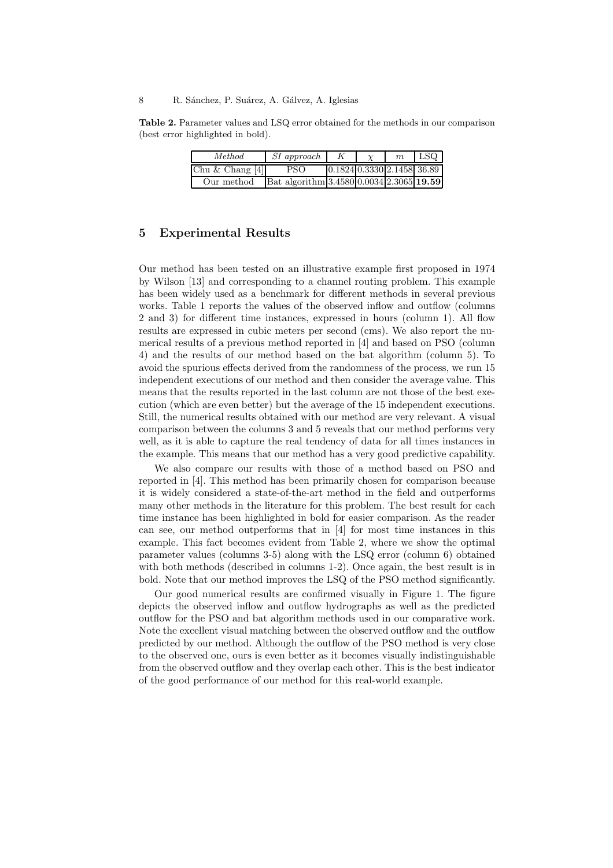#### 8 R. Sánchez, P. Suárez, A. Gálvez, A. Iglesias

Table 2. Parameter values and LSQ error obtained for the methods in our comparison (best error highlighted in bold).

| Method            | <i>SI</i> approach                       |                                       | m | <b>LSQ</b> |
|-------------------|------------------------------------------|---------------------------------------|---|------------|
| Chu & Chang $[4]$ | PSO.                                     | $0.1824 \, 0.3330 \, 2.1458 \, 36.89$ |   |            |
| Our method        | Bat algorithm 3.4580 0.0034 2.3065 19.59 |                                       |   |            |

# 5 Experimental Results

Our method has been tested on an illustrative example first proposed in 1974 by Wilson [13] and corresponding to a channel routing problem. This example has been widely used as a benchmark for different methods in several previous works. Table 1 reports the values of the observed inflow and outflow (columns 2 and 3) for different time instances, expressed in hours (column 1). All flow results are expressed in cubic meters per second (cms). We also report the numerical results of a previous method reported in [4] and based on PSO (column 4) and the results of our method based on the bat algorithm (column 5). To avoid the spurious effects derived from the randomness of the process, we run 15 independent executions of our method and then consider the average value. This means that the results reported in the last column are not those of the best execution (which are even better) but the average of the 15 independent executions. Still, the numerical results obtained with our method are very relevant. A visual comparison between the columns 3 and 5 reveals that our method performs very well, as it is able to capture the real tendency of data for all times instances in the example. This means that our method has a very good predictive capability.

We also compare our results with those of a method based on PSO and reported in [4]. This method has been primarily chosen for comparison because it is widely considered a state-of-the-art method in the field and outperforms many other methods in the literature for this problem. The best result for each time instance has been highlighted in bold for easier comparison. As the reader can see, our method outperforms that in [4] for most time instances in this example. This fact becomes evident from Table 2, where we show the optimal parameter values (columns 3-5) along with the LSQ error (column 6) obtained with both methods (described in columns 1-2). Once again, the best result is in bold. Note that our method improves the LSQ of the PSO method significantly.

Our good numerical results are confirmed visually in Figure 1. The figure depicts the observed inflow and outflow hydrographs as well as the predicted outflow for the PSO and bat algorithm methods used in our comparative work. Note the excellent visual matching between the observed outflow and the outflow predicted by our method. Although the outflow of the PSO method is very close to the observed one, ours is even better as it becomes visually indistinguishable from the observed outflow and they overlap each other. This is the best indicator of the good performance of our method for this real-world example.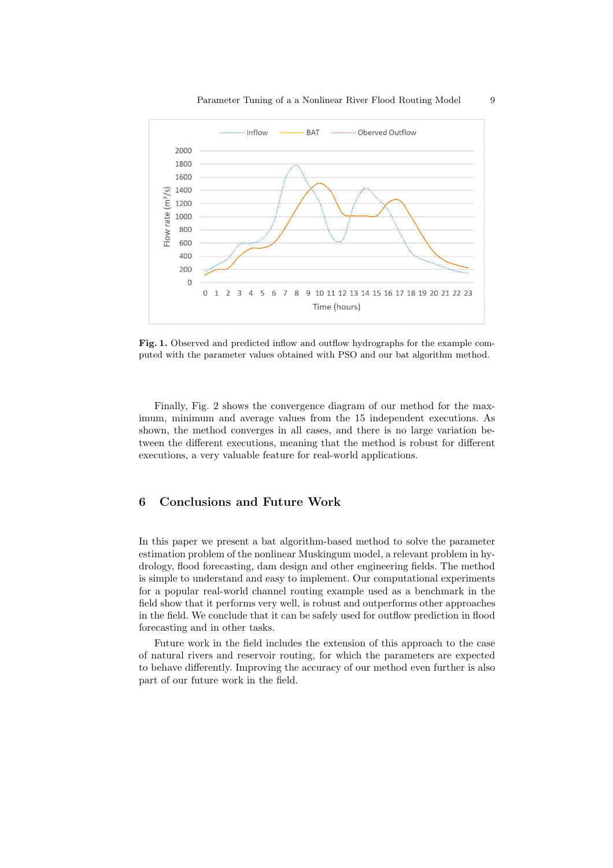

Fig. 1. Observed and predicted inflow and outflow hydrographs for the example computed with the parameter values obtained with PSO and our bat algorithm method.

Finally, Fig. 2 shows the convergence diagram of our method for the maximum, minimum and average values from the 15 independent executions. As shown, the method converges in all cases, and there is no large variation between the different executions, meaning that the method is robust for different executions, a very valuable feature for real-world applications.

# 6 Conclusions and Future Work

In this paper we present a bat algorithm-based method to solve the parameter estimation problem of the nonlinear Muskingum model, a relevant problem in hydrology, flood forecasting, dam design and other engineering fields. The method is simple to understand and easy to implement. Our computational experiments for a popular real-world channel routing example used as a benchmark in the field show that it performs very well, is robust and outperforms other approaches in the field. We conclude that it can be safely used for outflow prediction in flood forecasting and in other tasks.

Future work in the field includes the extension of this approach to the case of natural rivers and reservoir routing, for which the parameters are expected to behave differently. Improving the accuracy of our method even further is also part of our future work in the field.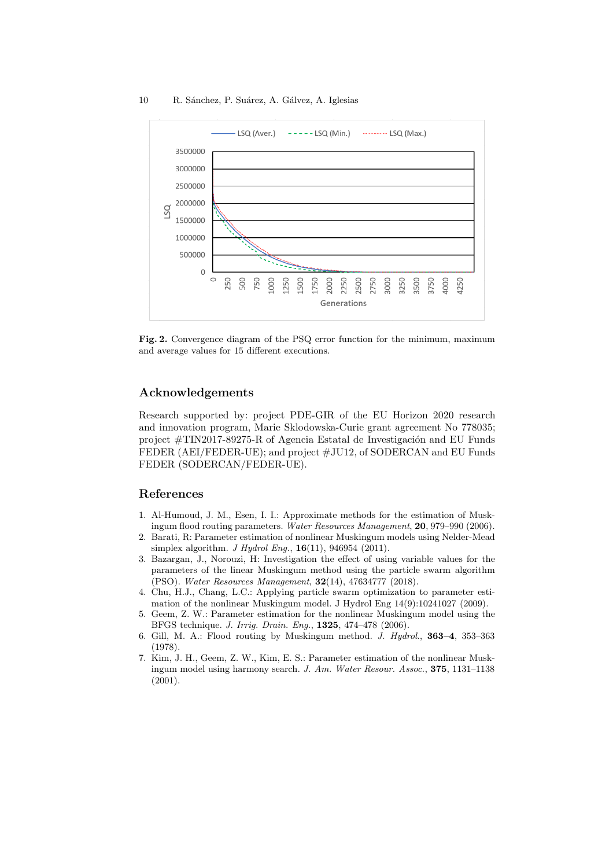

Fig. 2. Convergence diagram of the PSQ error function for the minimum, maximum and average values for 15 different executions.

# Acknowledgements

Research supported by: project PDE-GIR of the EU Horizon 2020 research and innovation program, Marie Sklodowska-Curie grant agreement No 778035; project  $\#\text{TIN}2017-89275-R$  of Agencia Estatal de Investigación and EU Funds FEDER (AEI/FEDER-UE); and project #JU12, of SODERCAN and EU Funds FEDER (SODERCAN/FEDER-UE).

## References

- 1. Al-Humoud, J. M., Esen, I. I.: Approximate methods for the estimation of Muskingum flood routing parameters. Water Resources Management, 20, 979–990 (2006).
- 2. Barati, R: Parameter estimation of nonlinear Muskingum models using Nelder-Mead simplex algorithm. *J Hydrol Enq.*,  $16(11)$ , 946954 (2011).
- 3. Bazargan, J., Norouzi, H: Investigation the effect of using variable values for the parameters of the linear Muskingum method using the particle swarm algorithm (PSO). Water Resources Management, 32(14), 47634777 (2018).
- 4. Chu, H.J., Chang, L.C.: Applying particle swarm optimization to parameter estimation of the nonlinear Muskingum model. J Hydrol Eng 14(9):10241027 (2009).
- 5. Geem, Z. W.: Parameter estimation for the nonlinear Muskingum model using the BFGS technique. J. Irrig. Drain. Eng., 1325, 474–478 (2006).
- 6. Gill, M. A.: Flood routing by Muskingum method. J. Hydrol., 363–4, 353–363 (1978).
- 7. Kim, J. H., Geem, Z. W., Kim, E. S.: Parameter estimation of the nonlinear Muskingum model using harmony search. J. Am. Water Resour. Assoc., 375, 1131–1138 (2001).